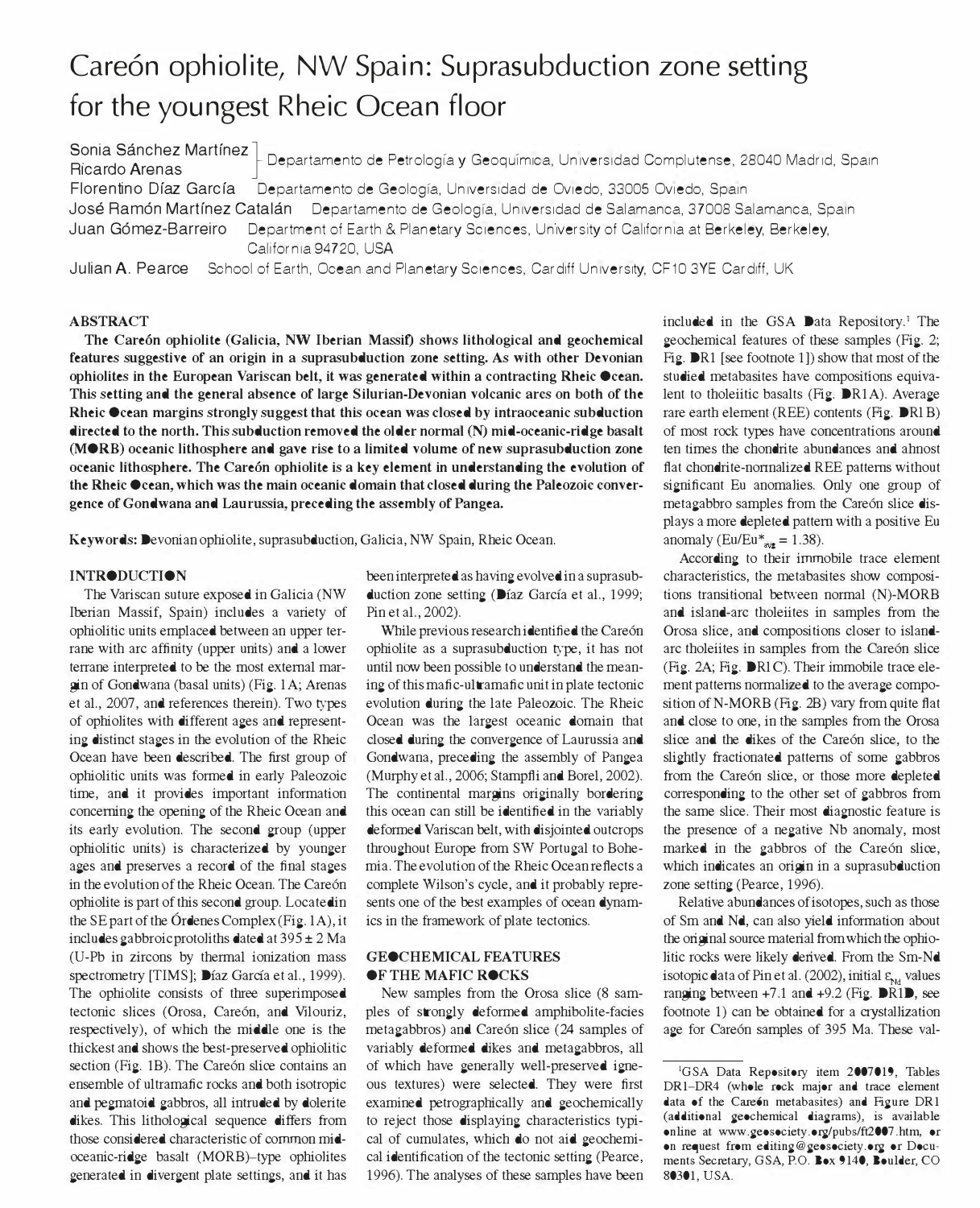# Care6n ophiolite, NW Spain: Suprasubduction zone setting for the youngest Rheic Ocean floor

Sonia Sanchez Martinez | Departamento de Petrología y Geoquímica, Universidad Complutense, 28040 Madrid, Spain<br>Ricardo Arenas **Ricardo Arenas** Florentino Dfaz Garcfa Departamento de Geologia, Unlversldad de OVledo, 33005 OVledo, Spain Jose Ram6n Martfnez Catalan Departamento de Geologia, Unlversldad de Salamanca, 37008 Salamanca, Spain Juan Gómez-Barreiro Department of Earth & Planetary Sciences, University of California at Berkeley, Berkeley, California 94720, USA Julian A. Pearce School of Earth, Ocean and Planetary Sciences, Cardiff University, CF10 3YE Cardiff, UK

# ABSTRACT

The Careón ophiolite (Galicia, NW Iberian Massif) shows lithological and geochemical features suggestive of an origin in a suprasubduction zone setting. As with other Devonian ophiolites in the European Variscan belt, it was generated within a contracting Rheic Ocean. This setting and the general absence of large Silurian-Devonian volcanic arcs on both of the Rheic Ocean margins strongly suggest that this ocean was closed by intraoceanic subduction directed to the north. This subduction removed the older normal (N) mid-oceanic-ridge basalt (MORB) oceanic lithosphere and gave rise to a limited volume of new suprasubduction zone oceanic lithosphere. The Careón ophiolite is a key element in understanding the evolution of the Rheic Ocean, which was the main oceanic domain that closed during the Paleozoic convergence of Gondwana and Laurussia, preceding the assembly of Pangea.

Keywords: Devonian ophiolite, suprasubduction, Galida, NW Spain, Rheic Ocean.

# **INTRODUCTION**

The Variscan suture exposed in Galicia (NW Iberian Massif, Spain) includes a variety of ophiolitic units emplaced between an upper terrane with arc affinity (upper units) and a lower terrane interpreted to be the most external margin of Gondwana (basal units) (Fig. lA; Arenas et al., 2007, and references therein). Two types of ophiolites with different ages and representing distinct stages in the evolution of the Rheic Ocean have been described. The first group of ophiolitic units was formed in early Paleozoic time, and it provides important information concerning the opening of the Rheic Ocean and its early evolution. The second group (upper ophiolitic units) is characterized by younger ages and preserves a record of the final stages in the evolution of the Rheic Ocean. The Care6n ophiolite is part of this second group. Locatedin the SE part of the Órdenes Complex (Fig. 1A), it includes gabbroic protoliths dated at  $395 \pm 2$  Ma (U-Pb in zircons by thermal ionization mass spectrometry [TIMS]; Díaz García et al., 1999). The ophiolite consists of three superimposed tectonic slices (Orosa, Careón, and Vilouriz, respectively), of which the middle one is the thickest and shows the best-preserved ophiolitic section (Fig. 1B). The Careón slice contains an ensemble of ultramafic rocks and both isotropic and pegmatoid gabbros, all intruded by dolerite dikes. This lithological sequence differs from those considered characteristic of common midoceanic-ridge basalt (MORB)-type ophiolites generated in divergent plate settings, and it has

been interpreted as having evolved in a suprasubduction zone setting (Díaz García et al., 1999; Pin et al., 2002).

While previous research identified the Careón ophiolite as a suprasubduction type, it has not until now been possible to understand the meaning of this mafic-ultramafic unit in plate tectonic evolution during the late Paleozoic. The Rheic Ocean was the largest oceanic domain that closed during the convergence of Laurussia and Gondwana, preceding the assembly of Pangea (Murphy et al., 2006; Stampfli and Borel, 2002). The continental margins originally bordering this ocean can still be identified in the variably deformed Variscan belt, with disjointed outcrops throughout Europe from SW Portugal to Bohemia. The evolution of the Rheic Ocean reflects a complete Wilson's cycle, and it probably represents one of the best examples of ocean dynamics in the framework of plate tectonics.

# GEOCHEMICAL FEATURES OF THE MAFIC ROCKS

New samples from the Orosa slice (8 samples of strongly deformed amphibolite-facies metagabbros) and Care6n slice (24 samples of variably deformed dikes and metagabbros, all of which have generally well-preserved igneous textures) were selected. They were first examined petrographically and geochemically to reject those displaying characteristics typical of cumulates, which do not aid geochemical identification of the tectonic setting (Pearce, 1996). The analyses of these samples have been included in the GSA Data Repository.<sup>1</sup> The geochemical features of these samples (Fig. 2; Fig. DRI [see footnote I]) show that most of the studied metabasites have compositions equivalent to tholeiitic basalts (Fig. DRIA). Average rare earth element (REE) contents (Fig. DRI B) of most rock types have concentrations around ten times the chondrite abundances and ahnost flat chondrite-normalized REE patterns without significant Eu anomalies. Only one group of metagabbro samples from the Careón slice displays a more depleted pattern with a positive Eu anomaly (Eu/Eu $*_{\text{avz}} = 1.38$ ).

According to their immobile trace element characteristics, the metabasites show compositions transitional between normal (N)-MORB and island-arc tholeiites in samples from the Orosa slice, and compositions closer to islandarc tholeiites in samples from the Care6n slice (Fig. 2A; Fig. DR1C). Their immobile trace element patterns normalized to the average composition of N-MORB (Fig. 2B) vary from quite flat and close to one, in the samples from the Orosa slice and the dikes of the Care6n slice, to the slightly fractionated patterns of some gabbros from the Careón slice, or those more depleted corresponding to the other set of gabbros from the same slice. Their most diagnostic feature is the presence of a negative Nb anomaly, most marked in the gabbros of the Careón slice, which indicates an origin in a suprasubduction zone setting (Pearce, 1996).

Relative abundances of isotopes, such as those of Srn and Nd, can also yield information aoout the original source material from which the ophiolitic rocks were likely derived. From the Sm-Nd isotopic data of Pin et al. (2002), initial  $\varepsilon_{\text{Nd}}$  values ranging between +7.1 and +9.2 (Fig. DRID, see footnote I) can be obtained for a crystallization age for Careón samples of 395 Ma. These val-

lGSA Data Repository item 2007019, Tables DR1-DR4 (whole rock major and trace element data of the Careón metabasites) and Figure DR1 (additional geochemical diagrams), is available online at www.geosociety.org/pubs/ft2007.htm. or on request from editing@geosociety.org or Documents Secretary, GSA, PO. Box 9140, Boulder, CO 80301, USA.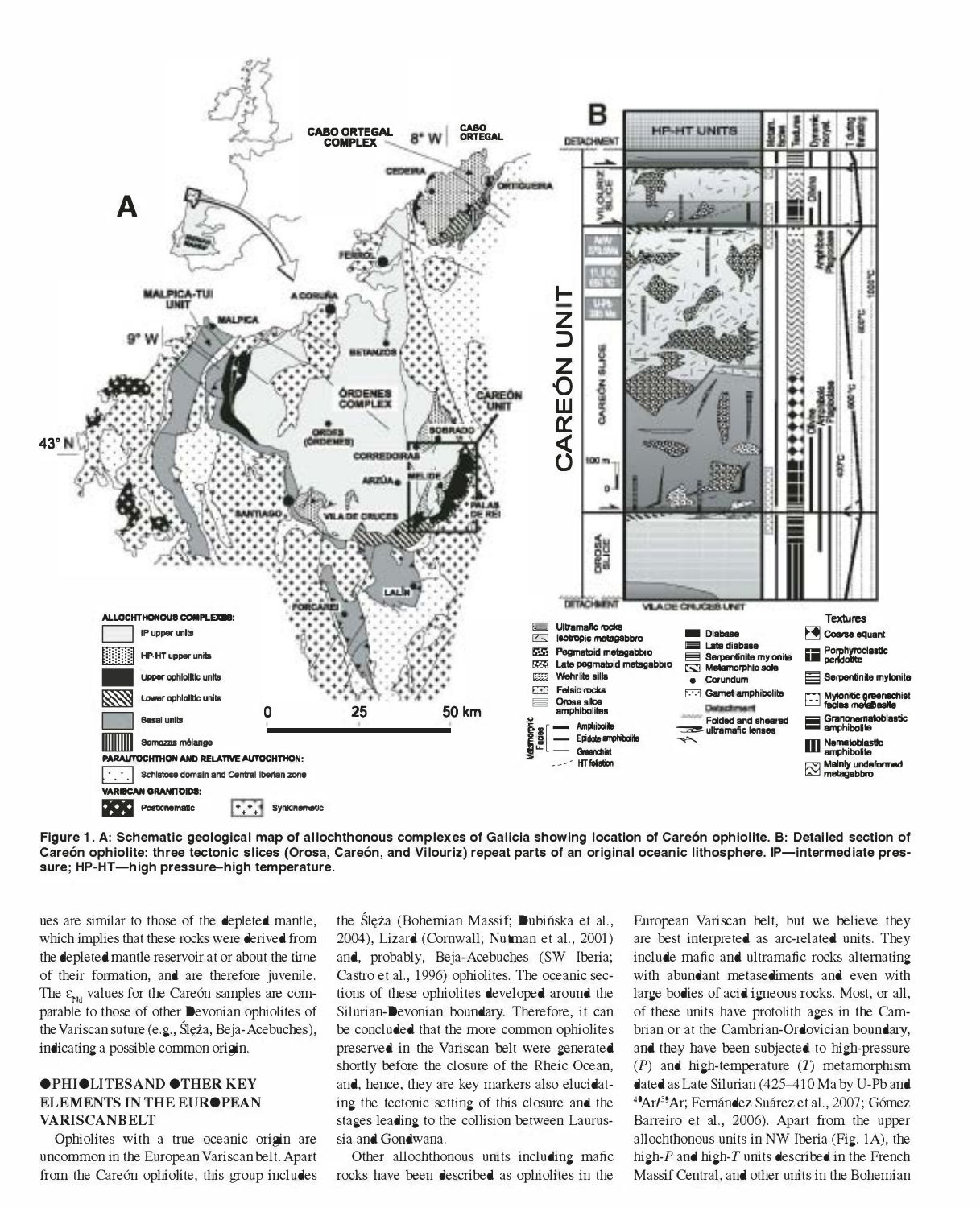



ues are similar to those of the depleted mantle, which implies that these rocks were derived from the depleted mantle reservoir at or about the time of their formation, and are therefore juvenile. The  $\varepsilon_{\text{N}d}$  values for the Careón samples are comparable to those of other Devonian ophiolites of the Variscan suture (e.g., Sleża, Beja-Acebuches), indicating a possible common origin.

# **OPHIOLITESAND OTHER KEY ELEMENTS IN THE EUROPEAN VARISCANBELT**

Ophiolites with a true oceanic origin are uncommon in the European Variscan belt. Apart from the Careón ophiolite, this group includes the Ślęża (Bohemian Massif; Dubińska et al., 2004), Lizard (Cornwall; Nutman et al., 2001) and, probably, Beja-Acebuches (SW Iberia; Castro et al., 1996) ophiolites. The oceanic sections of these ophiolites developed around the Silurian-Devonian boundary. Therefore, it can be concluded that the more common ophiolites preserved in the Variscan belt were generated shortly before the closure of the Rheic Ocean, and, hence, they are key markers also elucidating the tectonic setting of this closure and the stages leading to the collision between Laurussia and Gondwana.

Other allochthonous units including mafic rocks have been described as ophiolites in the European Variscan belt, but we believe they are best interpreted as arc-related units. They include mafic and ultramafic rocks alternating with abundant metasediments and even with large bodies of acid igneous rocks. Most, or all, of these units have protolith ages in the Cambrian or at the Cambrian-Ordovician boundary, and they have been subjected to high-pressure  $(P)$  and high-temperature  $(T)$  metamorphism dated as Late Silurian (425-410 Ma by U-Pb and <sup>40</sup>Ar/<sup>39</sup>Ar; Fernández Suárez et al., 2007; Gómez Barreiro et al., 2006). Apart from the upper allochthonous units in NW Iberia (Fig. 1A), the high- $P$  and high- $T$  units described in the French Massif Central, and other units in the Bohemian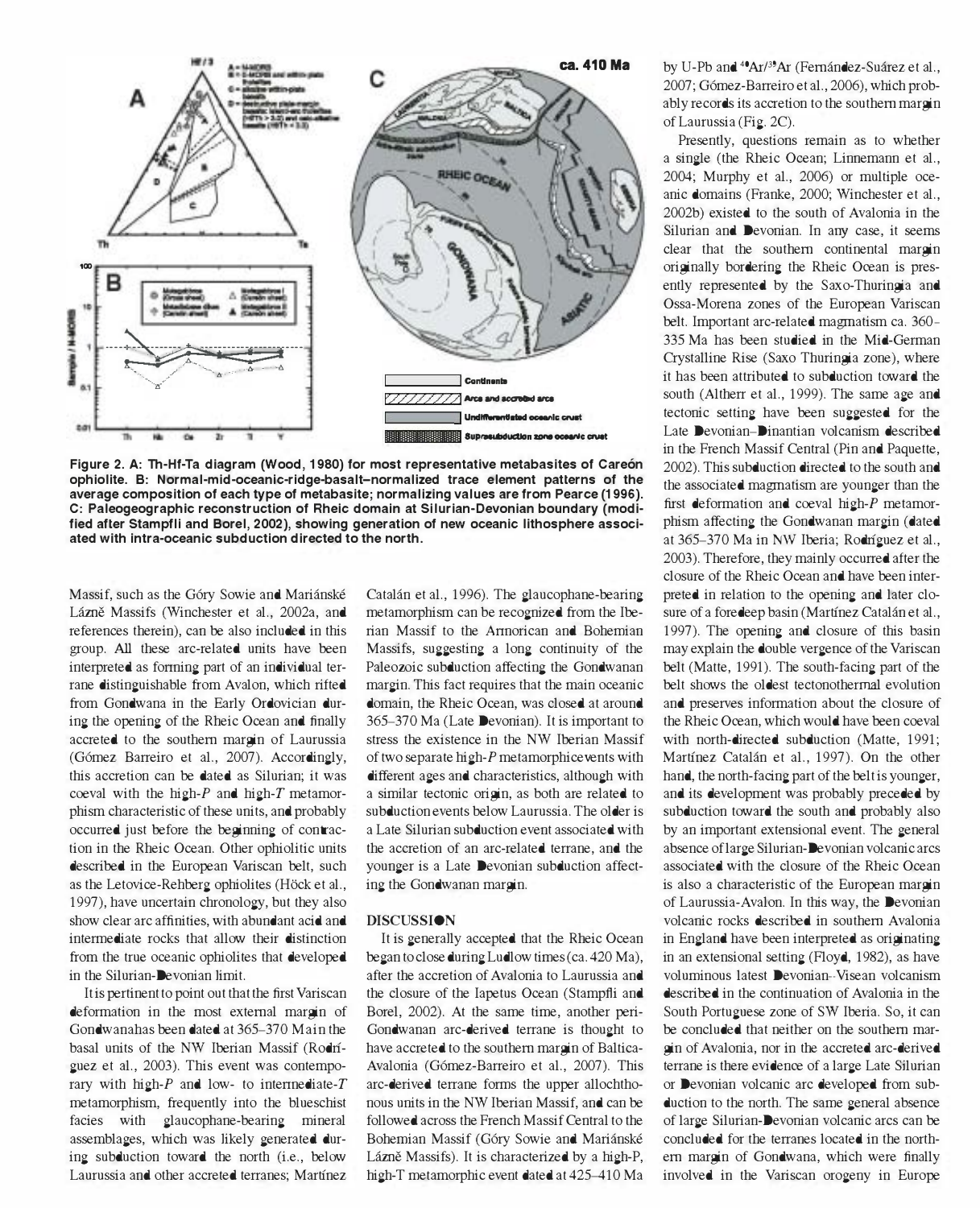

Figure 2. A: Th-Hf-Ta diagram (Wood, 1980) for most representative metabasites of Careón ophiolite. B: Normal-mid-oceanic-ridge-basalt-normalized trace element patterns of the average composition of each type of metabasite; normalizing values are from Pearce (1996). C: Paleogeographic reconstruction of Rheic domain at Silurian-Devonian boundary (modified after Stampfli and Borel, 2002), showing generation of new oceanic lithosphere associated with intra-oceanic subduction directed to the north.

Massif, such as the Góry Sowie and Mariánské Lázně Massifs (Winchester et al., 2002a, and references therein), can be also included in this group. All these arc-related units have been interpreted as forming part of an individual terrane distinguishable from Avalon, which rifted from Gondwana in the Early Ordovician during the opening of the Rheic Ocean and finally accreted to the southern margin of Laurussia (Gómez Barreiro et al., 2007). Accordingly, this accretion can be dated as Silurian; it was coeval with the high- $P$  and high- $T$  metamorphism characteristic of these units, and probably occurred just before the beginning of contraction in the Rheic Ocean. Other ophiolitic units described in the European Variscan belt, such as the Letovice-Rehberg ophiolites (Höck et al., 1997), have uncertain chronology, but they also show clear arc affinities, with abundant acid and intermediate rocks that allow their distinction from the true oceanic ophiolites that developed in the Silurian-Devonian limit.

It is pertinent to point out that the first Variscan deformation in the most external margin of Gondwanahas been dated at 365–370 Main the basal units of the NW Iberian Massif (Rodríguez et al., 2003). This event was contemporary with high- $P$  and low- to intermediate- $T$ metamorphism, frequently into the blueschist facies with glaucophane-bearing mineral assemblages, which was likely generated during subduction toward the north (i.e., below Laurussia and other accreted terranes; Martínez Catalán et al., 1996). The glaucophane-bearing metamorphism can be recognized from the Iberian Massif to the Armorican and Bohemian Massifs, suggesting a long continuity of the Paleozoic subduction affecting the Gondwanan margin. This fact requires that the main oceanic domain, the Rheic Ocean, was closed at around 365–370 Ma (Late Devonian). It is important to stress the existence in the NW Iberian Massif of two separate high-P metamorphice vents with different ages and characteristics, although with a similar tectonic origin, as both are related to subduction events below Laurussia. The older is a Late Silurian subduction event associated with the accretion of an arc-related terrane, and the younger is a Late Devonian subduction affecting the Gondwanan margin.

### **DISCUSSION**

It is generally accepted that the Rheic Ocean began to close during Ludlow times (ca. 420 Ma), after the accretion of Avalonia to Laurussia and the closure of the Iapetus Ocean (Stampfli and Borel, 2002). At the same time, another peri-Gondwanan arc-derived terrane is thought to have accreted to the southern margin of Baltica-Avalonia (Gómez-Barreiro et al., 2007). This arc-derived terrane forms the upper allochthonous units in the NW Iberian Massif, and can be followed across the French Massif Central to the Bohemian Massif (Góry Sowie and Mariánské Lázně Massifs). It is characterized by a high-P, high-T metamorphic event dated at 425-410 Ma

by U-Pb and <sup>40</sup>Ar/<sup>39</sup>Ar (Fernández-Suárez et al., 2007: Gómez-Barreiro et al., 2006), which probably records its accretion to the southern margin of Laurussia (Fig. 2C).

Presently, questions remain as to whether a single (the Rheic Ocean; Linnemann et al., 2004; Murphy et al., 2006) or multiple oceanic domains (Franke, 2000; Winchester et al., 2002b) existed to the south of Avalonia in the Silurian and Devonian. In any case, it seems clear that the southern continental margin originally bordering the Rheic Ocean is presently represented by the Saxo-Thuringia and Ossa-Morena zones of the European Variscan belt. Important arc-related magmatism ca. 360-335 Ma has been studied in the Mid-German Crystalline Rise (Saxo Thuringia zone), where it has been attributed to subduction toward the south (Altherr et al., 1999). The same age and tectonic setting have been suggested for the Late Devonian-Dinantian volcanism described in the French Massif Central (Pin and Paquette, 2002). This subduction directed to the south and the associated magmatism are younger than the first deformation and coeval high-P metamorphism affecting the Gondwanan margin (dated at 365-370 Ma in NW Iberia; Rodríguez et al., 2003). Therefore, they mainly occurred after the closure of the Rheic Ocean and have been interpreted in relation to the opening and later closure of a fore deep basin (Martínez Catalán et al., 1997). The opening and closure of this basin may explain the double vergence of the Variscan belt (Matte, 1991). The south-facing part of the belt shows the oldest tectonothermal evolution and preserves information about the closure of the Rheic Ocean, which would have been coeval with north-directed subduction (Matte, 1991; Martínez Catalán et al., 1997). On the other hand, the north-facing part of the belt is younger, and its development was probably preceded by subduction toward the south and probably also by an important extensional event. The general absence of large Silurian-Devonian volcanic arcs associated with the closure of the Rheic Ocean is also a characteristic of the European margin of Laurussia-Avalon. In this way, the Devonian volcanic rocks described in southern Avalonia in England have been interpreted as originating in an extensional setting (Floyd, 1982), as have voluminous latest Devonian-Visean volcanism described in the continuation of Avalonia in the South Portuguese zone of SW Iberia. So, it can be concluded that neither on the southern margin of Avalonia, nor in the accreted arc-derived terrane is there evidence of a large Late Silurian or Devonian volcanic arc developed from subduction to the north. The same general absence of large Silurian-Devonian volcanic arcs can be concluded for the terranes located in the northern margin of Gondwana, which were finally involved in the Variscan orogeny in Europe